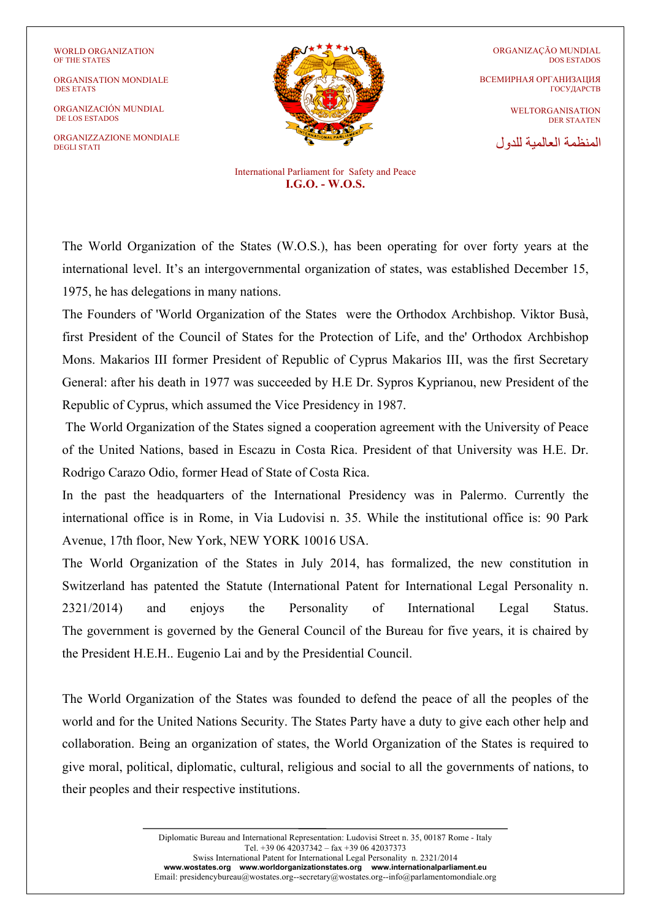ORGANISATION MONDIALE DES ETATS

ORGANIZACIÓN MUNDIAL DE LOS ESTADOS

ORGANIZZAZIONE MONDIALE DEGLI STATI



ORGANIZAÇÃO MUNDIAL DOS ESTADOS

ВСЕМИРНАЯ ОРГАНИЗАЦИЯ ГОСУДАРСТВ

> WELTORGANISATION DER STAATEN

المنظمة العالمیة للدول

International Parliament for Safety and Peace **I.G.O. - W.O.S.** 

The World Organization of the States (W.O.S.), has been operating for over forty years at the international level. It's an intergovernmental organization of states, was established December 15, 1975, he has delegations in many nations.

The Founders of 'World Organization of the States were the Orthodox Archbishop. Viktor Busà, first President of the Council of States for the Protection of Life, and the' Orthodox Archbishop Mons. Makarios III former President of Republic of Cyprus Makarios III, was the first Secretary General: after his death in 1977 was succeeded by H.E Dr. Sypros Kyprianou, new President of the Republic of Cyprus, which assumed the Vice Presidency in 1987.

The World Organization of the States signed a cooperation agreement with the University of Peace of the United Nations, based in Escazu in Costa Rica. President of that University was H.E. Dr. Rodrigo Carazo Odio, former Head of State of Costa Rica.

In the past the headquarters of the International Presidency was in Palermo. Currently the international office is in Rome, in Via Ludovisi n. 35. While the institutional office is: 90 Park Avenue, 17th floor, New York, NEW YORK 10016 USA.

The World Organization of the States in July 2014, has formalized, the new constitution in Switzerland has patented the Statute (International Patent for International Legal Personality n. 2321/2014) and enjoys the Personality of International Legal Status. The government is governed by the General Council of the Bureau for five years, it is chaired by the President H.E.H.. Eugenio Lai and by the Presidential Council.

The World Organization of the States was founded to defend the peace of all the peoples of the world and for the United Nations Security. The States Party have a duty to give each other help and collaboration. Being an organization of states, the World Organization of the States is required to give moral, political, diplomatic, cultural, religious and social to all the governments of nations, to their peoples and their respective institutions.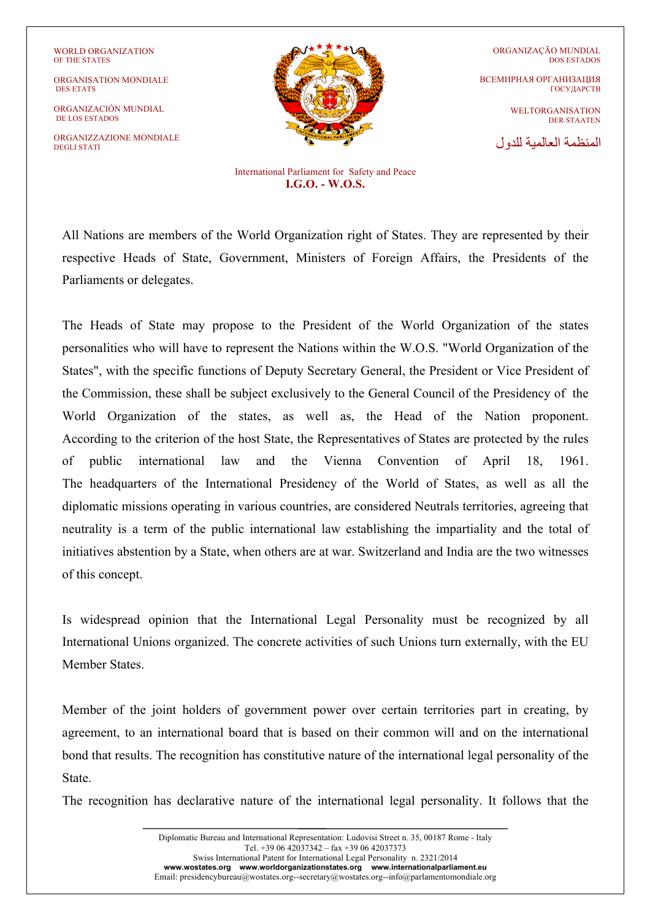ORGANISATION MONDIALE DES ETATS

ORGANIZACIÓN MUNDIAL DE LOS ESTADOS

ORGANIZZAZIONE MONDIALE DEGLI STATI



ORGANIZAÇÃO MUNDIAL DOS ESTADOS ВСЕМИРНАЯ ОРГАНИЗАЦИЯ ГОСУДАРСТВ

> WELTORGANISATION DER STAATEN

المنظمة العالمیة للدول

International Parliament for Safety and Peace **I.G.O. - W.O.S.** 

All Nations are members of the World Organization right of States. They are represented by their respective Heads of State, Government, Ministers of Foreign Affairs, the Presidents of the Parliaments or delegates.

The Heads of State may propose to the President of the World Organization of the states personalities who will have to represent the Nations within the W.O.S. "World Organization of the States", with the specific functions of Deputy Secretary General, the President or Vice President of the Commission, these shall be subject exclusively to the General Council of the Presidency of the World Organization of the states, as well as, the Head of the Nation proponent. According to the criterion of the host State, the Representatives of States are protected by the rules of public international law and the Vienna Convention of April 18, 1961. The headquarters of the International Presidency of the World of States, as well as all the diplomatic missions operating in various countries, are considered Neutrals territories, agreeing that neutrality is a term of the public international law establishing the impartiality and the total of initiatives abstention by a State, when others are at war. Switzerland and India are the two witnesses of this concept.

Is widespread opinion that the International Legal Personality must be recognized by all International Unions organized. The concrete activities of such Unions turn externally, with the EU Member States.

Member of the joint holders of government power over certain territories part in creating, by agreement, to an international board that is based on their common will and on the international bond that results. The recognition has constitutive nature of the international legal personality of the State.

The recognition has declarative nature of the international legal personality. It follows that the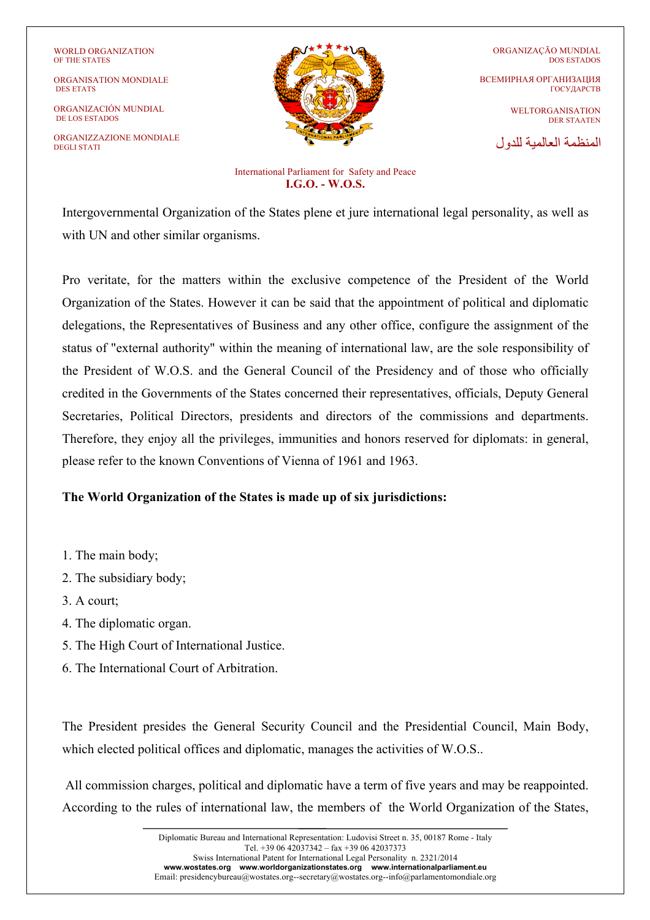ORGANISATION MONDIALE DES ETATS

ORGANIZACIÓN MUNDIAL DE LOS ESTADOS

ORGANIZZAZIONE MONDIALE DEGLI STATI



ORGANIZAÇÃO MUNDIAL DOS ESTADOS ВСЕМИРНАЯ ОРГАНИЗАЦИЯ ГОСУДАРСТВ WELTORGANISATION DER STAATEN

المنظمة العالمیة للدول

International Parliament for Safety and Peace **I.G.O. - W.O.S.** 

Intergovernmental Organization of the States plene et jure international legal personality, as well as with UN and other similar organisms.

Pro veritate, for the matters within the exclusive competence of the President of the World Organization of the States. However it can be said that the appointment of political and diplomatic delegations, the Representatives of Business and any other office, configure the assignment of the status of "external authority" within the meaning of international law, are the sole responsibility of the President of W.O.S. and the General Council of the Presidency and of those who officially credited in the Governments of the States concerned their representatives, officials, Deputy General Secretaries, Political Directors, presidents and directors of the commissions and departments. Therefore, they enjoy all the privileges, immunities and honors reserved for diplomats: in general, please refer to the known Conventions of Vienna of 1961 and 1963.

## **The World Organization of the States is made up of six jurisdictions:**

- 1. The main body;
- 2. The subsidiary body;
- 3. A court;
- 4. The diplomatic organ.
- 5. The High Court of International Justice.
- 6. The International Court of Arbitration.

The President presides the General Security Council and the Presidential Council, Main Body, which elected political offices and diplomatic, manages the activities of W.O.S..

All commission charges, political and diplomatic have a term of five years and may be reappointed. According to the rules of international law, the members of the World Organization of the States,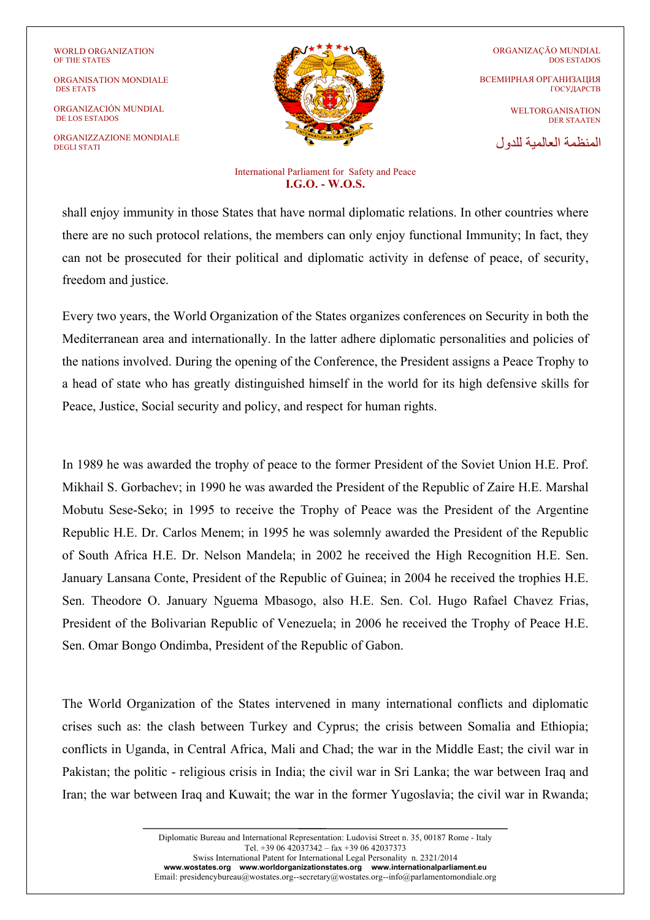ORGANISATION MONDIALE DES ETATS

ORGANIZACIÓN MUNDIAL DE LOS ESTADOS

ORGANIZZAZIONE MONDIALE DEGLI STATI



ORGANIZAÇÃO MUNDIAL DOS ESTADOS ВСЕМИРНАЯ ОРГАНИЗАЦИЯ ГОСУДАРСТВ

> WELTORGANISATION DER STAATEN

المنظمة العالمیة للدول

International Parliament for Safety and Peace **I.G.O. - W.O.S.** 

shall enjoy immunity in those States that have normal diplomatic relations. In other countries where there are no such protocol relations, the members can only enjoy functional Immunity; In fact, they can not be prosecuted for their political and diplomatic activity in defense of peace, of security, freedom and justice.

Every two years, the World Organization of the States organizes conferences on Security in both the Mediterranean area and internationally. In the latter adhere diplomatic personalities and policies of the nations involved. During the opening of the Conference, the President assigns a Peace Trophy to a head of state who has greatly distinguished himself in the world for its high defensive skills for Peace, Justice, Social security and policy, and respect for human rights.

In 1989 he was awarded the trophy of peace to the former President of the Soviet Union H.E. Prof. Mikhail S. Gorbachev; in 1990 he was awarded the President of the Republic of Zaire H.E. Marshal Mobutu Sese-Seko; in 1995 to receive the Trophy of Peace was the President of the Argentine Republic H.E. Dr. Carlos Menem; in 1995 he was solemnly awarded the President of the Republic of South Africa H.E. Dr. Nelson Mandela; in 2002 he received the High Recognition H.E. Sen. January Lansana Conte, President of the Republic of Guinea; in 2004 he received the trophies H.E. Sen. Theodore O. January Nguema Mbasogo, also H.E. Sen. Col. Hugo Rafael Chavez Frias, President of the Bolivarian Republic of Venezuela; in 2006 he received the Trophy of Peace H.E. Sen. Omar Bongo Ondimba, President of the Republic of Gabon.

The World Organization of the States intervened in many international conflicts and diplomatic crises such as: the clash between Turkey and Cyprus; the crisis between Somalia and Ethiopia; conflicts in Uganda, in Central Africa, Mali and Chad; the war in the Middle East; the civil war in Pakistan; the politic - religious crisis in India; the civil war in Sri Lanka; the war between Iraq and Iran; the war between Iraq and Kuwait; the war in the former Yugoslavia; the civil war in Rwanda;